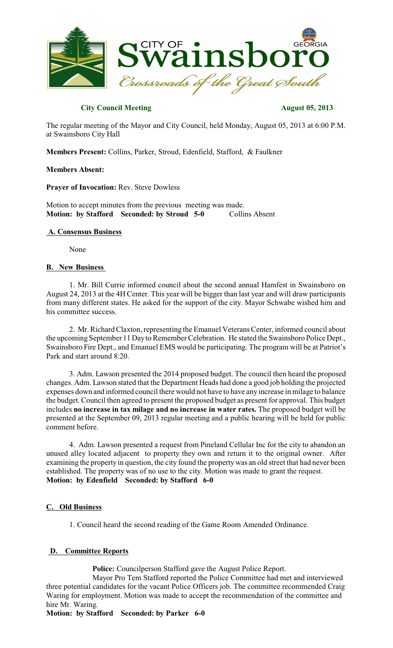

## **City Council Meeting August 05, 2013**

The regular meeting of the Mayor and City Council, held Monday, August 05, 2013 at 6:00 P.M. at Swainsboro City Hall

**Members Present:** Collins, Parker, Stroud, Edenfield, Stafford, & Faulkner

#### **Members Absent:**

**Prayer of Invocation:** Rev. Steve Dowless

Motion to accept minutes from the previous meeting was made. **Motion: by Stafford Seconded: by Stroud 5-0** Collins Absent

**A. Consensus Business**

None

### **B. New Business**

1. Mr. Bill Currie informed council about the second annual Hamfest in Swainsboro on August 24, 2013 at the 4H Center. This year will be bigger than last year and will draw participants from many different states. He asked for the support of the city. Mayor Schwabe wished him and his committee success.

2. Mr. Richard Claxton, representing the Emanuel Veterans Center, informed council about the upcoming September 11 Day to Remember Celebration. He stated the Swainsboro Police Dept., Swainsboro Fire Dept., and Emanuel EMS would be participating. The program will be at Patriot's Park and start around 8:20.

3. Adm. Lawson presented the 2014 proposed budget. The council then heard the proposed changes. Adm. Lawson stated that the Department Heads had done a good job holding the projected expenses down and informed council there would not have to have any increase in milage to balance the budget. Council then agreed to present the proposed budget as present for approval. This budget includes **no increase in tax milage and no increase in water rates.** The proposed budget will be presented at the September 09, 2013 regular meeting and a public hearing will be held for public comment before.

4. Adm. Lawson presented a request from Pineland Cellular Inc for the city to abandon an unused alley located adjacent to property they own and return it to the original owner. After examining the property in question, the city found the propertywas an old street that had never been established. The property was of no use to the city. Motion was made to grant the request. **Motion: by Edenfield Seconded: by Stafford 6-0**

# **C. Old Business**

1. Council heard the second reading of the Game Room Amended Ordinance.

# **D. Committee Reports**

**Police:** Councilperson Stafford gave the August Police Report.

Mayor Pro Tem Stafford reported the Police Committee had met and interviewed three potential candidates for the vacant Police Officers job. The committee recommended Craig Waring for employment. Motion was made to accept the recommendation of the committee and hire Mr. Waring.